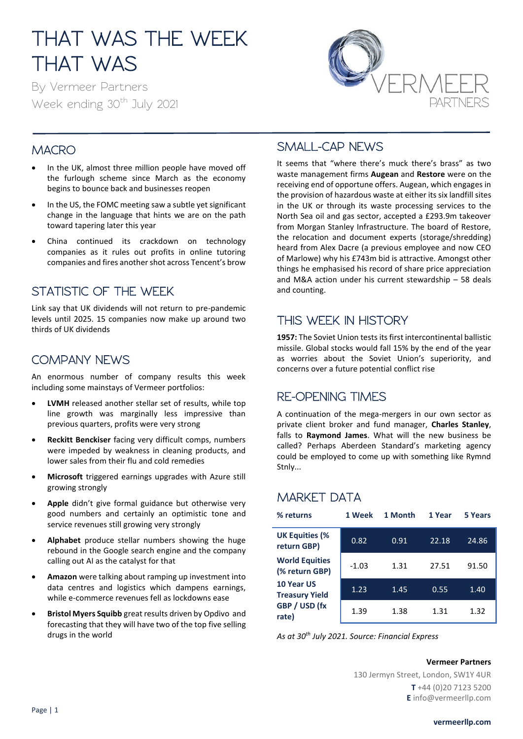# THAT WAS THE WEEK THAT WAS

By Vermeer Partners Week ending 30<sup>th</sup> July 2021



### **MACRO**

- In the UK, almost three million people have moved off the furlough scheme since March as the economy begins to bounce back and businesses reopen
- In the US, the FOMC meeting saw a subtle yet significant change in the language that hints we are on the path toward tapering later this year
- China continued its crackdown on technology companies as it rules out profits in online tutoring companies and fires another shot across Tencent's brow

#### STATISTIC OF THE WEEK

Link say that UK dividends will not return to pre-pandemic levels until 2025. 15 companies now make up around two thirds of UK dividends

#### COMPANY NEWS

An enormous number of company results this week including some mainstays of Vermeer portfolios:

- **LVMH** released another stellar set of results, while top line growth was marginally less impressive than previous quarters, profits were very strong
- **Reckitt Benckiser** facing very difficult comps, numbers were impeded by weakness in cleaning products, and lower sales from their flu and cold remedies
- **Microsoft** triggered earnings upgrades with Azure still growing strongly
- Apple didn't give formal guidance but otherwise very good numbers and certainly an optimistic tone and service revenues still growing very strongly
- **Alphabet** produce stellar numbers showing the huge rebound in the Google search engine and the company calling out AI as the catalyst for that
- **Amazon** were talking about ramping up investment into data centres and logistics which dampens earnings, while e-commerce revenues fell as lockdowns ease
- **Bristol Myers Squibb** great results driven by Opdivo and forecasting that they will have two of the top five selling drugs in the world

#### SMALL-CAP NEWS

It seems that "where there's muck there's brass" as two waste management firms **Augean** and **Restore** were on the receiving end of opportune offers. Augean, which engages in the provision of hazardous waste at either its six landfill sites in the UK or through its waste processing services to the North Sea oil and gas sector, accepted a £293.9m takeover from Morgan Stanley Infrastructure. The board of Restore, the relocation and document experts (storage/shredding) heard from Alex Dacre (a previous employee and now CEO of Marlowe) why his £743m bid is attractive. Amongst other things he emphasised his record of share price appreciation and M&A action under his current stewardship – 58 deals and counting.

#### THIS WEEK IN HISTORY

**1957:** The Soviet Union tests its first intercontinental ballistic missile. Global stocks would fall 15% by the end of the year as worries about the Soviet Union's superiority, and concerns over a future potential conflict rise

#### RE-OPENING TIMES

A continuation of the mega-mergers in our own sector as private client broker and fund manager, **Charles Stanley**, falls to **Raymond James**. What will the new business be called? Perhaps Aberdeen Standard's marketing agency could be employed to come up with something like Rymnd Stnly...

### MARKET DATA

| % returns                               | 1 Week  | 1 Month | 1 Year | 5 Years |
|-----------------------------------------|---------|---------|--------|---------|
| <b>UK Equities (%</b><br>return GBP)    | 0.82    | 0.91    | 22.18  | 24.86   |
| <b>World Equities</b><br>(% return GBP) | $-1.03$ | 1.31    | 27.51  | 91.50   |
| 10 Year US<br><b>Treasury Yield</b>     | 1.23    | 1.45    | 0.55   | 1.40    |
| GBP / USD (fx<br>rate)                  | 1.39    | 1.38    | 1.31   | 1.32    |

*As at 30th July 2021. Source: Financial Express*

#### **Vermeer Partners**

130 Jermyn Street, London, SW1Y 4UR **T** +44 (0)20 7123 5200 **E** info@vermeerllp.com